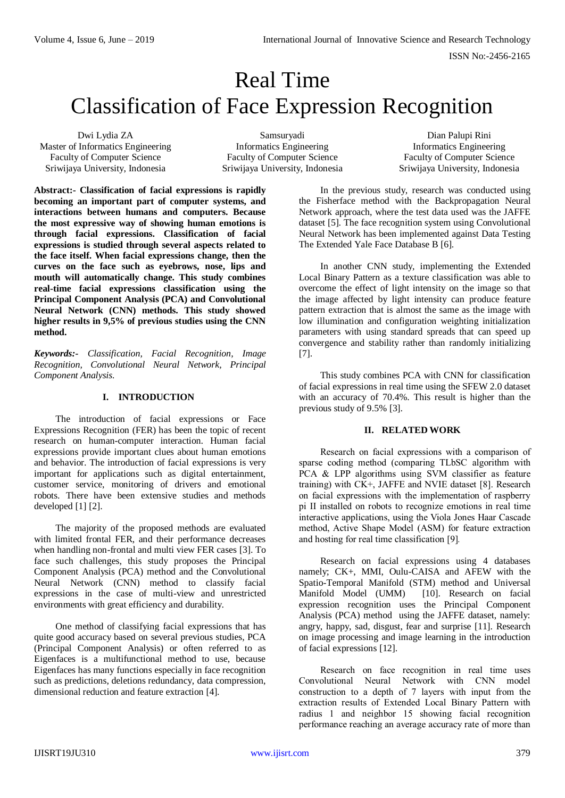# Real Time Classification of Face Expression Recognition

Dwi Lydia ZA Master of Informatics Engineering Faculty of Computer Science Sriwijaya University, Indonesia

Samsuryadi Informatics Engineering Faculty of Computer Science Sriwijaya University, Indonesia

Dian Palupi Rini Informatics Engineering Faculty of Computer Science Sriwijaya University, Indonesia

**Abstract:- Classification of facial expressions is rapidly becoming an important part of computer systems, and interactions between humans and computers. Because the most expressive way of showing human emotions is through facial expressions. Classification of facial expressions is studied through several aspects related to the face itself. When facial expressions change, then the curves on the face such as eyebrows, nose, lips and mouth will automatically change. This study combines real-time facial expressions classification using the Principal Component Analysis (PCA) and Convolutional Neural Network (CNN) methods. This study showed higher results in 9,5% of previous studies using the CNN method.**

*Keywords:- Classification, Facial Recognition, Image Recognition, Convolutional Neural Network, Principal Component Analysis.*

## **I. INTRODUCTION**

The introduction of facial expressions or Face Expressions Recognition (FER) has been the topic of recent research on human-computer interaction. Human facial expressions provide important clues about human emotions and behavior. The introduction of facial expressions is very important for applications such as digital entertainment, customer service, monitoring of drivers and emotional robots. There have been extensive studies and methods developed [1] [2].

The majority of the proposed methods are evaluated with limited frontal FER, and their performance decreases when handling non-frontal and multi view FER cases [3]. To face such challenges, this study proposes the Principal Component Analysis (PCA) method and the Convolutional Neural Network (CNN) method to classify facial expressions in the case of multi-view and unrestricted environments with great efficiency and durability.

One method of classifying facial expressions that has quite good accuracy based on several previous studies, PCA (Principal Component Analysis) or often referred to as Eigenfaces is a multifunctional method to use, because Eigenfaces has many functions especially in face recognition such as predictions, deletions redundancy, data compression, dimensional reduction and feature extraction [4].

In the previous study, research was conducted using the Fisherface method with the Backpropagation Neural Network approach, where the test data used was the JAFFE dataset [5]. The face recognition system using Convolutional Neural Network has been implemented against Data Testing The Extended Yale Face Database B [6].

In another CNN study, implementing the Extended Local Binary Pattern as a texture classification was able to overcome the effect of light intensity on the image so that the image affected by light intensity can produce feature pattern extraction that is almost the same as the image with low illumination and configuration weighting initialization parameters with using standard spreads that can speed up convergence and stability rather than randomly initializing [7].

This study combines PCA with CNN for classification of facial expressions in real time using the SFEW 2.0 dataset with an accuracy of 70.4%. This result is higher than the previous study of 9.5% [3].

#### **II. RELATED WORK**

Research on facial expressions with a comparison of sparse coding method (comparing TLbSC algorithm with PCA & LPP algorithms using SVM classifier as feature training) with CK+, JAFFE and NVIE dataset [8]. Research on facial expressions with the implementation of raspberry pi II installed on robots to recognize emotions in real time interactive applications, using the Viola Jones Haar Cascade method, Active Shape Model (ASM) for feature extraction and hosting for real time classification [9]*.*

Research on facial expressions using 4 databases namely; CK+, MMI, Oulu-CAISA and AFEW with the Spatio-Temporal Manifold (STM) method and Universal Manifold Model (UMM) [10]. Research on facial expression recognition uses the Principal Component Analysis (PCA) method using the JAFFE dataset, namely: angry, happy, sad, disgust, fear and surprise [11]. Research on image processing and image learning in the introduction of facial expressions [12].

Research on face recognition in real time uses Convolutional Neural Network with CNN model convolutional treatment from the construction to a depth of 7 layers with input from the extraction results of Extended Local Binary Pattern with radius 1 and neighbor 15 showing facial recognition performance reaching an average accuracy rate of more than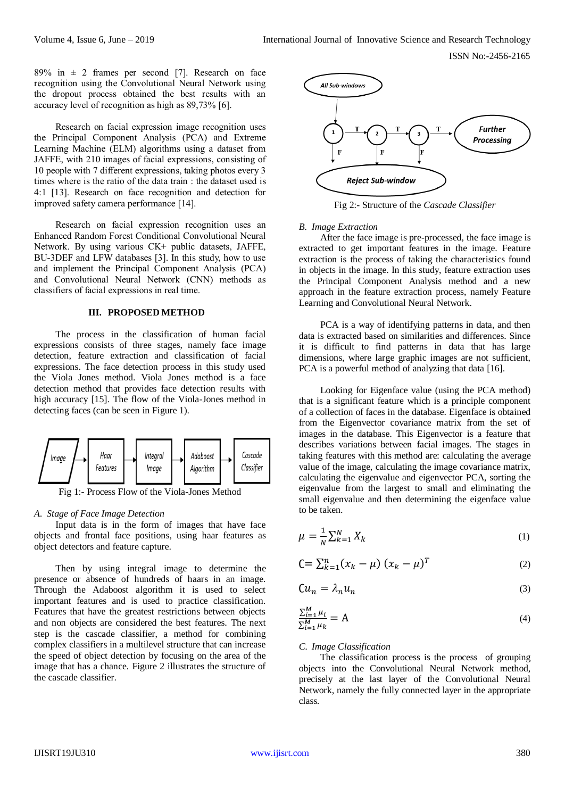ISSN No:-2456-2165

89% in  $\pm$  2 frames per second [7]. Research on face recognition using the Convolutional Neural Network using the dropout process obtained the best results with an accuracy level of recognition as high as 89,73% [6].

Research on facial expression image recognition uses the Principal Component Analysis (PCA) and Extreme Learning Machine (ELM) algorithms using a dataset from JAFFE, with 210 images of facial expressions, consisting of 10 people with 7 different expressions, taking photos every 3 times where is the ratio of the data train : the dataset used is 4:1 [13]. Research on face recognition and detection for improved safety camera performance [14].

Research on facial expression recognition uses an Enhanced Random Forest Conditional Convolutional Neural Network. By using various CK+ public datasets, JAFFE, BU-3DEF and LFW databases [3]. In this study, how to use and implement the Principal Component Analysis (PCA) and Convolutional Neural Network (CNN) methods as classifiers of facial expressions in real time.

#### **III. PROPOSED METHOD**

The process in the classification of human facial expressions consists of three stages, namely face image detection, feature extraction and classification of facial expressions. The face detection process in this study used the Viola Jones method. Viola Jones method is a face detection method that provides face detection results with high accuracy [15]. The flow of the Viola-Jones method in detecting faces (can be seen in Figure 1).



Fig 1:- Process Flow of the Viola-Jones Method

#### *A. Stage of Face Image Detection*

Input data is in the form of images that have face objects and frontal face positions, using haar features as object detectors and feature capture.

Then by using integral image to determine the presence or absence of hundreds of haars in an image. Through the Adaboost algorithm it is used to select important features and is used to practice classification. Features that have the greatest restrictions between objects and non objects are considered the best features. The next step is the cascade classifier, a method for combining complex classifiers in a multilevel structure that can increase the speed of object detection by focusing on the area of the image that has a chance. Figure 2 illustrates the structure of the cascade classifier.



Fig 2:- Structure of the *Cascade Classifier*

#### *B. Image Extraction*

After the face image is pre-processed, the face image is extracted to get important features in the image. Feature extraction is the process of taking the characteristics found in objects in the image. In this study, feature extraction uses the Principal Component Analysis method and a new approach in the feature extraction process, namely Feature Learning and Convolutional Neural Network.

PCA is a way of identifying patterns in data, and then data is extracted based on similarities and differences. Since it is difficult to find patterns in data that has large dimensions, where large graphic images are not sufficient, PCA is a powerful method of analyzing that data [16].

Looking for Eigenface value (using the PCA method) that is a significant feature which is a principle component of a collection of faces in the database. Eigenface is obtained from the Eigenvector covariance matrix from the set of images in the database. This Eigenvector is a feature that describes variations between facial images. The stages in taking features with this method are: calculating the average value of the image, calculating the image covariance matrix, calculating the eigenvalue and eigenvector PCA, sorting the eigenvalue from the largest to small and eliminating the small eigenvalue and then determining the eigenface value to be taken.

$$
\mu = \frac{1}{N} \sum_{k=1}^{N} X_k \tag{1}
$$

$$
C = \sum_{k=1}^{n} (x_k - \mu) (x_k - \mu)^T
$$
 (2)

$$
Cu_n = \lambda_n u_n \tag{3}
$$

$$
\frac{\sum_{i=1}^{M} \mu_i}{\sum_{i=1}^{M} \mu_k} = A \tag{4}
$$

#### *C. Image Classification*

The classification process is the process of grouping objects into the Convolutional Neural Network method, precisely at the last layer of the Convolutional Neural Network, namely the fully connected layer in the appropriate class.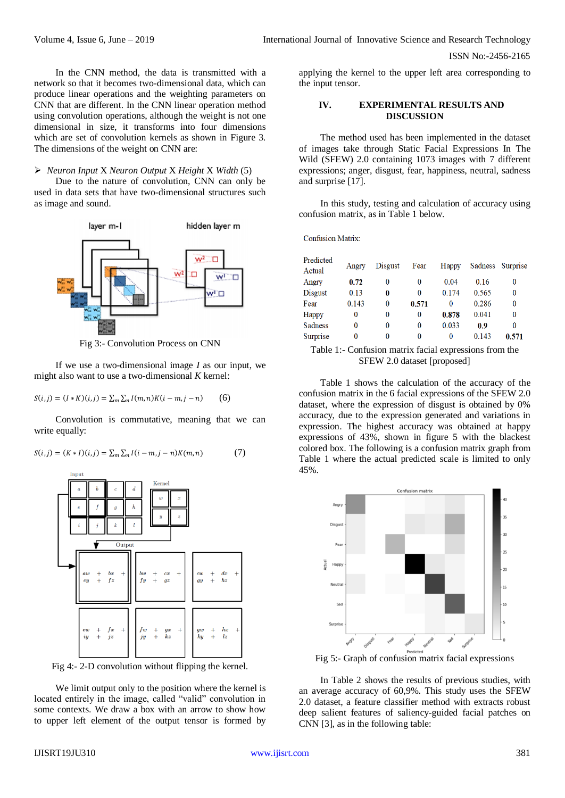ISSN No:-2456-2165

In the CNN method, the data is transmitted with a network so that it becomes two-dimensional data, which can produce linear operations and the weighting parameters on CNN that are different. In the CNN linear operation method using convolution operations, although the weight is not one dimensional in size, it transforms into four dimensions which are set of convolution kernels as shown in Figure 3. The dimensions of the weight on CNN are:

*Neuron Input* X *Neuron Output* X *Height* X *Width* (5)

Due to the nature of convolution, CNN can only be used in data sets that have two-dimensional structures such as image and sound.



Fig 3:- Convolution Process on CNN

If we use a two-dimensional image *I* as our input, we might also want to use a two-dimensional *K* kernel:

 $S(i, j) = (I * K)(i, j) = \sum_m \sum_n I(m, n)K(i - m, j - n)$  (6)

Convolution is commutative, meaning that we can write equally:

$$
S(i,j) = (K * I)(i,j) = \sum_{m} \sum_{n} I(i - m, j - n) K(m,n)
$$
 (7)





We limit output only to the position where the kernel is located entirely in the image, called "valid" convolution in some contexts. We draw a box with an arrow to show how to upper left element of the output tensor is formed by

applying the kernel to the upper left area corresponding to the input tensor.

### **IV. EXPERIMENTAL RESULTS AND DISCUSSION**

The method used has been implemented in the dataset of images take through Static Facial Expressions In The Wild (SFEW) 2.0 containing 1073 images with 7 different expressions; anger, disgust, fear, happiness, neutral, sadness and surprise [17].

In this study, testing and calculation of accuracy using confusion matrix, as in Table 1 below.

Confusion Matrix<sup>-</sup>

| Predicted<br>Actual | Angry    | Disgust | Fear     | Happy | Sadness | Surprise |
|---------------------|----------|---------|----------|-------|---------|----------|
| Angry               | 0.72     | 0       | 0        | 0.04  | 0.16    | 0        |
| Disgust             | 0.13     | 0       | $\bf{0}$ | 0.174 | 0.565   | $\bf{0}$ |
| Fear                | 0.143    | 0       | 0.571    | 0     | 0.286   | 0        |
| Happy               | 0        | 0       | 0        | 0.878 | 0.041   | $\bf{0}$ |
| Sadness             | $\bf{0}$ | 0       | $\bf{0}$ | 0.033 | 0.9     | $\bf{0}$ |
| Surprise            | 0        | 0       | 0        | 0     | 0.143   | 0.571    |

Table 1:- Confusion matrix facial expressions from the SFEW 2.0 dataset [proposed]

Table 1 shows the calculation of the accuracy of the confusion matrix in the 6 facial expressions of the SFEW 2.0 dataset, where the expression of disgust is obtained by 0% accuracy, due to the expression generated and variations in expression. The highest accuracy was obtained at happy expressions of 43%, shown in figure 5 with the blackest colored box. The following is a confusion matrix graph from Table 1 where the actual predicted scale is limited to only 45%.



Fig 5:- Graph of confusion matrix facial expressions

In Table 2 shows the results of previous studies, with an average accuracy of 60,9%. This study uses the SFEW 2.0 dataset, a feature classifier method with extracts robust deep salient features of saliency-guided facial patches on CNN [3], as in the following table: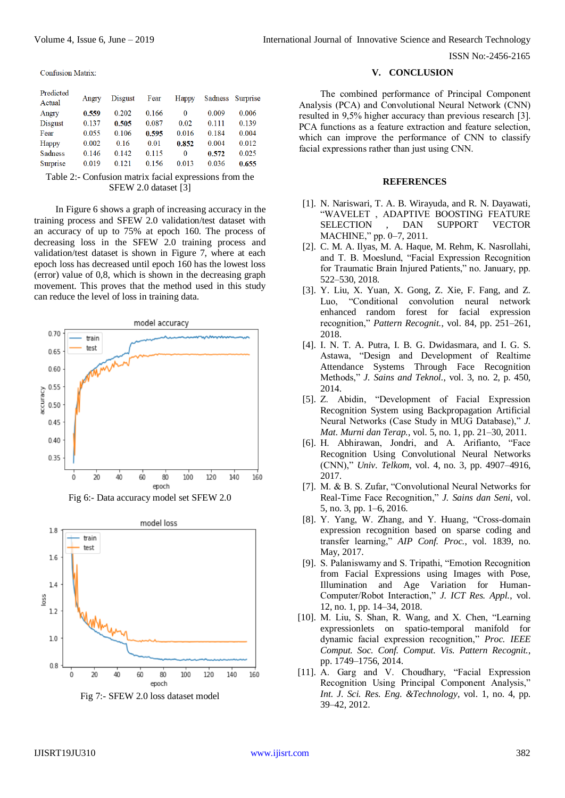Volume 4, Issue 6, June – 2019 **International Journal of Innovative Science and Research Technology** 

ISSN No:-2456-2165

Confusion Matrix

| Predicted<br>Actual | Angry | Disgust | Fear  | Happy    |       | Sadness Surprise |
|---------------------|-------|---------|-------|----------|-------|------------------|
| Angry               | 0.559 | 0.202   | 0.166 | $\Omega$ | 0.009 | 0.006            |
| <b>Disgust</b>      | 0.137 | 0.505   | 0.087 | 0.02     | 0.111 | 0.139            |
| Fear                | 0.055 | 0.106   | 0.595 | 0.016    | 0.184 | 0.004            |
| Happy               | 0.002 | 0.16    | 0.01  | 0.852    | 0.004 | 0.012            |
| Sadness             | 0.146 | 0.142   | 0.115 | $\Omega$ | 0.572 | 0.025            |
| Surprise            | 0.019 | 0.121   | 0.156 | 0.013    | 0.036 | 0.655            |

Table 2:- Confusion matrix facial expressions from the SFEW 2.0 dataset [3]

In Figure 6 shows a graph of increasing accuracy in the training process and SFEW 2.0 validation/test dataset with an accuracy of up to 75% at epoch 160. The process of decreasing loss in the SFEW 2.0 training process and validation/test dataset is shown in Figure 7, where at each epoch loss has decreased until epoch 160 has the lowest loss (error) value of 0,8, which is shown in the decreasing graph movement. This proves that the method used in this study can reduce the level of loss in training data.





Fig 7:- SFEW 2.0 loss dataset model

#### **V. CONCLUSION**

The combined performance of Principal Component Analysis (PCA) and Convolutional Neural Network (CNN) resulted in 9,5% higher accuracy than previous research [3]. PCA functions as a feature extraction and feature selection, which can improve the performance of CNN to classify facial expressions rather than just using CNN.

#### **REFERENCES**

- [1]. N. Nariswari, T. A. B. Wirayuda, and R. N. Dayawati, "WAVELET , ADAPTIVE BOOSTING FEATURE SELECTION , DAN SUPPORT VECTOR MACHINE," pp. 0–7, 2011.
- [2]. C. M. A. Ilyas, M. A. Haque, M. Rehm, K. Nasrollahi, and T. B. Moeslund, "Facial Expression Recognition for Traumatic Brain Injured Patients," no. January, pp. 522–530, 2018.
- [3]. Y. Liu, X. Yuan, X. Gong, Z. Xie, F. Fang, and Z. Luo, "Conditional convolution neural network enhanced random forest for facial expression recognition," *Pattern Recognit.*, vol. 84, pp. 251–261, 2018.
- [4]. I. N. T. A. Putra, I. B. G. Dwidasmara, and I. G. S. Astawa, "Design and Development of Realtime Attendance Systems Through Face Recognition Methods," *J. Sains and Teknol.*, vol. 3, no. 2, p. 450, 2014.
- [5]. Z. Abidin, "Development of Facial Expression Recognition System using Backpropagation Artificial Neural Networks (Case Study in MUG Database)," *J. Mat. Murni dan Terap.*, vol. 5, no. 1, pp. 21–30, 2011.
- [6]. H. Abhirawan, Jondri, and A. Arifianto, "Face Recognition Using Convolutional Neural Networks (CNN)," *Univ. Telkom*, vol. 4, no. 3, pp. 4907–4916, 2017.
- [7]. M. & B. S. Zufar, "Convolutional Neural Networks for Real-Time Face Recognition," *J. Sains dan Seni*, vol. 5, no. 3, pp. 1–6, 2016.
- [8]. Y. Yang, W. Zhang, and Y. Huang, "Cross-domain expression recognition based on sparse coding and transfer learning," *AIP Conf. Proc.*, vol. 1839, no. May, 2017.
- [9]. S. Palaniswamy and S. Tripathi, "Emotion Recognition from Facial Expressions using Images with Pose, Illumination and Age Variation for Human-Computer/Robot Interaction," *J. ICT Res. Appl.*, vol. 12, no. 1, pp. 14–34, 2018.
- [10]. M. Liu, S. Shan, R. Wang, and X. Chen, "Learning expressionlets on spatio-temporal manifold for dynamic facial expression recognition," *Proc. IEEE Comput. Soc. Conf. Comput. Vis. Pattern Recognit.*, pp. 1749–1756, 2014.
- [11]. A. Garg and V. Choudhary, "Facial Expression Recognition Using Principal Component Analysis," *Int. J. Sci. Res. Eng. &Technology*, vol. 1, no. 4, pp. 39–42, 2012.